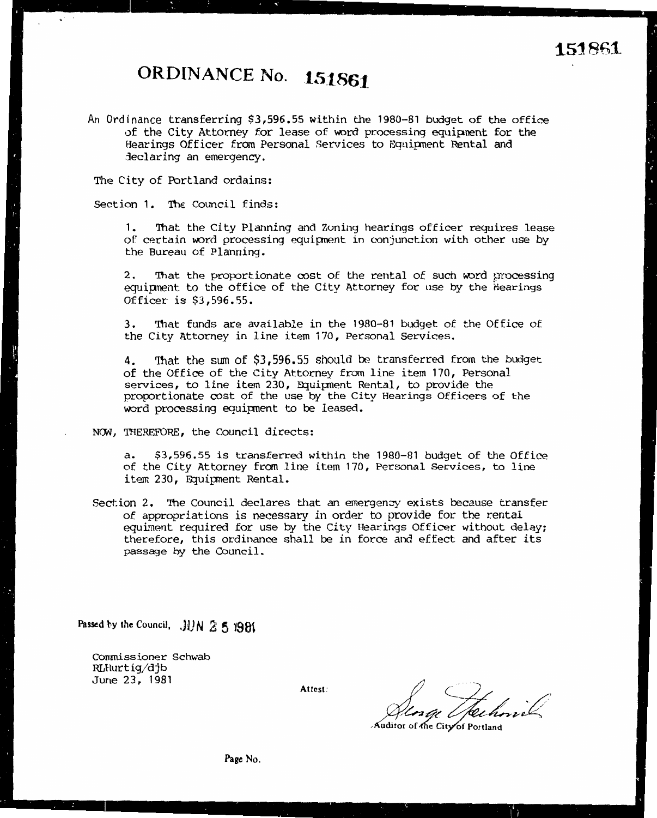## ORDINANCE No. 151861

An Ordinance transferring \$3,596.55 within the 1980-81 budget of the office of the City Attorney for lease of word processing equipment for the Hearings Officer from Personal Services to Equipment Rental and declaring an emergency.

The City of Portland ordains:

Section 1. The Council finds:

 $1.$ That the City Planning and Zoning hearings officer requires lease of certain word processing equipment in conjunction with other use by the Bureau of Planning.

 $2.$ That the proportionate cost of the rental of such word processing equipment to the office of the City Attorney for use by the Hearings Officer is \$3,596.55.

That funds are available in the 1980-81 budget of the Office of  $3.$ the City Attorney in line item 170, Personal Services.

That the sum of \$3,596.55 should be transferred from the budget 4. of the Office of the City Attorney from line item 170, Personal services, to line item 230, Equipment Rental, to provide the proportionate cost of the use by the City Hearings Officers of the word processing equipment to be leased.

NOW, THEREFORE, the Council directs:

 $a.$ \$3,596.55 is transferred within the 1980-81 budget of the Office of the City Attorney from line item 170, Personal Services, to line item 230, Equipment Rental.

Section 2. The Council declares that an emergency exists because transfer of appropriations is necessary in order to provide for the rental equiment required for use by the City Hearings Officer without delay; therefore, this ordinance shall be in force and effect and after its passage by the Council.

Passed by the Council, JUN 2 5 1981

Commissioner Schwab RLHurtig/djb June 23, 1981

Attest:

Tro e l

Auditor of the City of Portlan